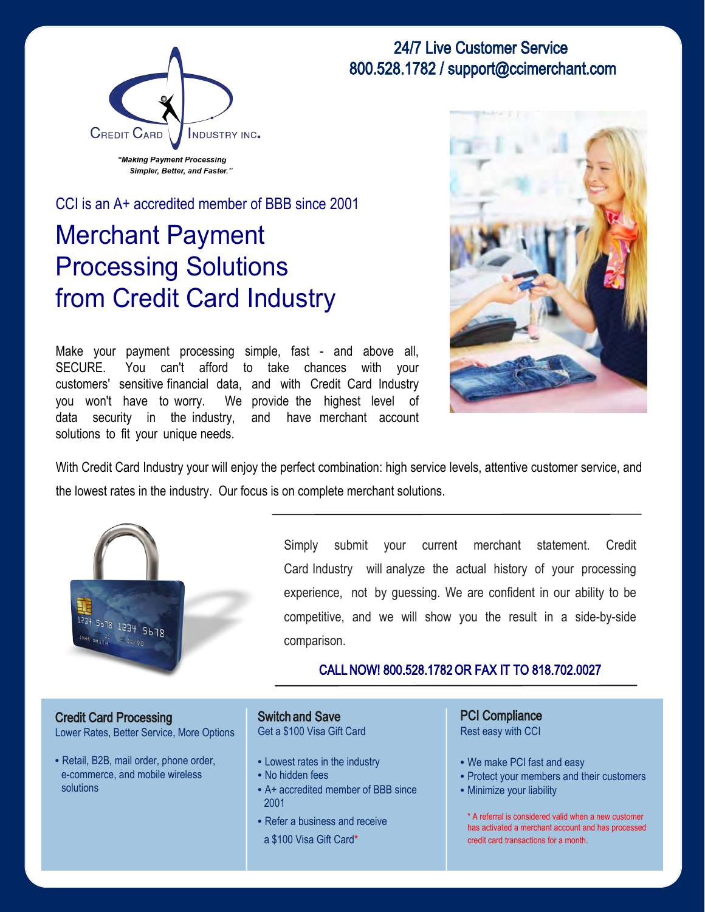



CCI is an A+ accredited member of BBB since 2001

# Merchant Payment Processing Solutions from Credit Card Industry

Make your payment processing simple, fast - and above all, SECURE. You can't afford to take chances with your customers' sensitive financial data, and with Credit Card Industry you won't have to worry. We provide the highest level of data security in the industry, and have merchant account solutions to fit your unique needs.



With Credit Card Industry your will enjoy the perfect combination: high service levels, attentive customer service, and the lowest rates in the industry. Our focus is on complete merchant solutions.



Simply submit your current merchant statement. Credit Card Industry will analyze the actual history of your processing experience, not by guessing. We are confident in our ability to be competitive, and we will show you the result in a side-by-side comparison.

#### CALL NOW! 800.528.1782 OR FAX IT TO 818.702.0027

Credit Card Processing Lower Rates, Better Service, More Options

• Retail, B2B, mail order, phone order, e-commerce, and mobile wireless solutions

Switch and Save Get a \$100 Visa Gift Card

- Lowest rates in the industry
- No hidden fees
- A+ accredited member of BBB since 2001
- Refer a business and receive
- a \$100 Visa Gift Card\*

PCI Compliance Rest easy with CCI

- We make PCI fast and easy
- Protect your members and their customers
- Minimize your liability

\* A referral is considered valid when a new customer has activated a merchant account and has processed credit card transactions for a month.